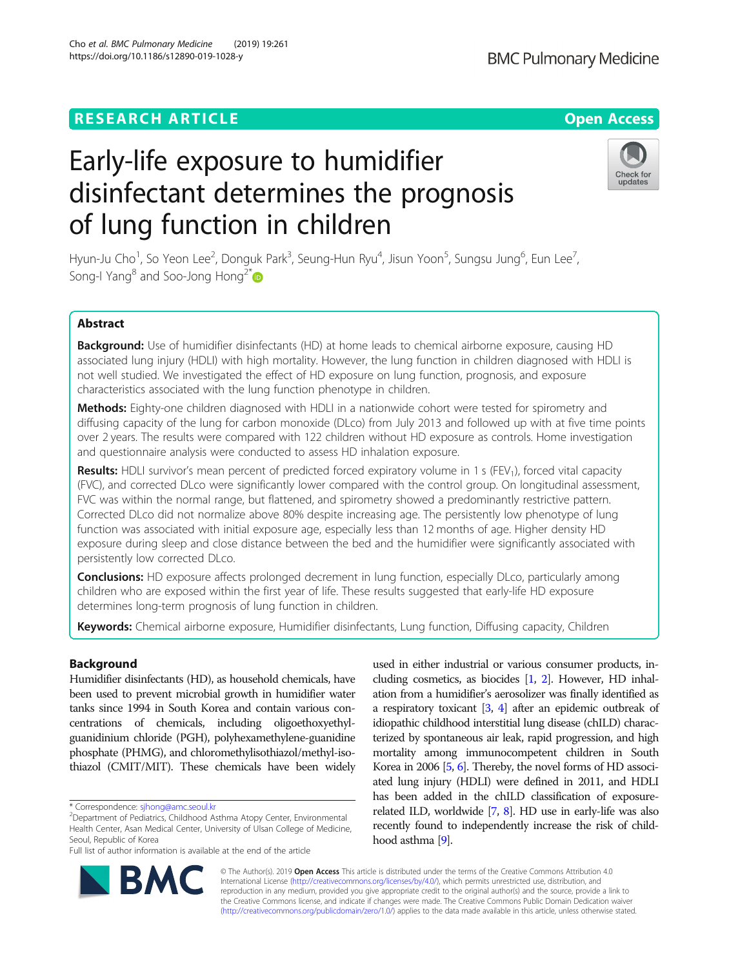## **RESEARCH ARTICLE Example 2014 12:30 The Contract of Contract ACCESS**

# Early-life exposure to humidifier disinfectant determines the prognosis of lung function in children

Hyun-Ju Cho<sup>1</sup>, So Yeon Lee<sup>2</sup>, Donguk Park<sup>3</sup>, Seung-Hun Ryu<sup>4</sup>, Jisun Yoon<sup>5</sup>, Sungsu Jung<sup>6</sup>, Eun Lee<sup>7</sup> , Song-I Yang<sup>8</sup> and Soo-Jong Hong<sup>2[\\*](http://orcid.org/0000-0003-1409-2113)</sup>

### Abstract

Background: Use of humidifier disinfectants (HD) at home leads to chemical airborne exposure, causing HD associated lung injury (HDLI) with high mortality. However, the lung function in children diagnosed with HDLI is not well studied. We investigated the effect of HD exposure on lung function, prognosis, and exposure characteristics associated with the lung function phenotype in children.

Methods: Eighty-one children diagnosed with HDLI in a nationwide cohort were tested for spirometry and diffusing capacity of the lung for carbon monoxide (DLco) from July 2013 and followed up with at five time points over 2 years. The results were compared with 122 children without HD exposure as controls. Home investigation and questionnaire analysis were conducted to assess HD inhalation exposure.

**Results:** HDLI survivor's mean percent of predicted forced expiratory volume in 1 s (FEV<sub>1</sub>), forced vital capacity (FVC), and corrected DLco were significantly lower compared with the control group. On longitudinal assessment, FVC was within the normal range, but flattened, and spirometry showed a predominantly restrictive pattern. Corrected DLco did not normalize above 80% despite increasing age. The persistently low phenotype of lung function was associated with initial exposure age, especially less than 12 months of age. Higher density HD exposure during sleep and close distance between the bed and the humidifier were significantly associated with persistently low corrected DLco.

**Conclusions:** HD exposure affects prolonged decrement in lung function, especially DLco, particularly among children who are exposed within the first year of life. These results suggested that early-life HD exposure determines long-term prognosis of lung function in children.

Keywords: Chemical airborne exposure, Humidifier disinfectants, Lung function, Diffusing capacity, Children

### **Background**

Humidifier disinfectants (HD), as household chemicals, have been used to prevent microbial growth in humidifier water tanks since 1994 in South Korea and contain various concentrations of chemicals, including oligoethoxyethylguanidinium chloride (PGH), polyhexamethylene-guanidine phosphate (PHMG), and chloromethylisothiazol/methyl-isothiazol (CMIT/MIT). These chemicals have been widely

\* Correspondence: [sjhong@amc.seoul.kr](mailto:sjhong@amc.seoul.kr) <sup>2</sup>

Full list of author information is available at the end of the article

used in either industrial or various consumer products, including cosmetics, as biocides [[1](#page-9-0), [2](#page-9-0)]. However, HD inhalation from a humidifier's aerosolizer was finally identified as a respiratory toxicant [\[3](#page-9-0), [4\]](#page-9-0) after an epidemic outbreak of idiopathic childhood interstitial lung disease (chILD) characterized by spontaneous air leak, rapid progression, and high mortality among immunocompetent children in South Korea in 2006 [[5](#page-9-0), [6](#page-9-0)]. Thereby, the novel forms of HD associated lung injury (HDLI) were defined in 2011, and HDLI has been added in the chILD classification of exposurerelated ILD, worldwide [\[7](#page-9-0), [8](#page-9-0)]. HD use in early-life was also recently found to independently increase the risk of childhood asthma [\[9](#page-9-0)].

© The Author(s). 2019 Open Access This article is distributed under the terms of the Creative Commons Attribution 4.0 International License [\(http://creativecommons.org/licenses/by/4.0/](http://creativecommons.org/licenses/by/4.0/)), which permits unrestricted use, distribution, and reproduction in any medium, provided you give appropriate credit to the original author(s) and the source, provide a link to the Creative Commons license, and indicate if changes were made. The Creative Commons Public Domain Dedication waiver [\(http://creativecommons.org/publicdomain/zero/1.0/](http://creativecommons.org/publicdomain/zero/1.0/)) applies to the data made available in this article, unless otherwise stated.







<sup>&</sup>lt;sup>2</sup>Department of Pediatrics, Childhood Asthma Atopy Center, Environmental Health Center, Asan Medical Center, University of Ulsan College of Medicine, Seoul, Republic of Korea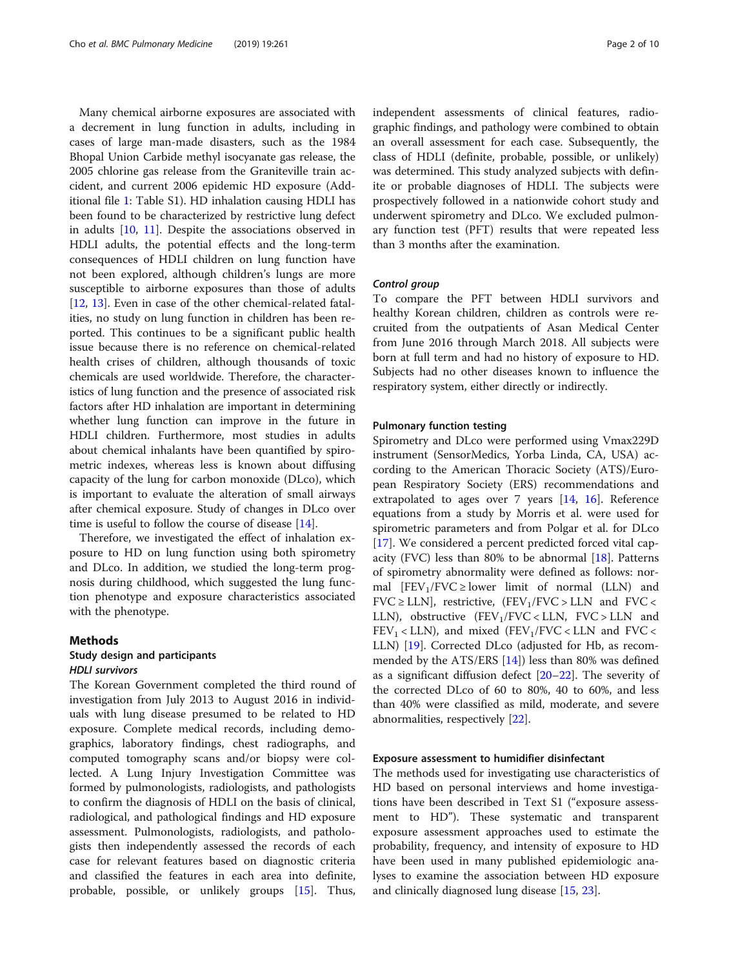Many chemical airborne exposures are associated with a decrement in lung function in adults, including in cases of large man-made disasters, such as the 1984 Bhopal Union Carbide methyl isocyanate gas release, the 2005 chlorine gas release from the Graniteville train accident, and current 2006 epidemic HD exposure (Additional file [1:](#page-8-0) Table S1). HD inhalation causing HDLI has been found to be characterized by restrictive lung defect in adults [\[10,](#page-9-0) [11](#page-9-0)]. Despite the associations observed in HDLI adults, the potential effects and the long-term consequences of HDLI children on lung function have not been explored, although children's lungs are more susceptible to airborne exposures than those of adults [[12,](#page-9-0) [13\]](#page-9-0). Even in case of the other chemical-related fatalities, no study on lung function in children has been reported. This continues to be a significant public health issue because there is no reference on chemical-related health crises of children, although thousands of toxic chemicals are used worldwide. Therefore, the characteristics of lung function and the presence of associated risk factors after HD inhalation are important in determining whether lung function can improve in the future in HDLI children. Furthermore, most studies in adults about chemical inhalants have been quantified by spirometric indexes, whereas less is known about diffusing capacity of the lung for carbon monoxide (DLco), which is important to evaluate the alteration of small airways after chemical exposure. Study of changes in DLco over time is useful to follow the course of disease [[14](#page-9-0)].

Therefore, we investigated the effect of inhalation exposure to HD on lung function using both spirometry and DLco. In addition, we studied the long-term prognosis during childhood, which suggested the lung function phenotype and exposure characteristics associated with the phenotype.

#### Methods

#### Study design and participants **HDLI** survivors

The Korean Government completed the third round of investigation from July 2013 to August 2016 in individuals with lung disease presumed to be related to HD exposure. Complete medical records, including demographics, laboratory findings, chest radiographs, and computed tomography scans and/or biopsy were collected. A Lung Injury Investigation Committee was formed by pulmonologists, radiologists, and pathologists to confirm the diagnosis of HDLI on the basis of clinical, radiological, and pathological findings and HD exposure assessment. Pulmonologists, radiologists, and pathologists then independently assessed the records of each case for relevant features based on diagnostic criteria and classified the features in each area into definite, probable, possible, or unlikely groups [[15\]](#page-9-0). Thus, independent assessments of clinical features, radiographic findings, and pathology were combined to obtain an overall assessment for each case. Subsequently, the class of HDLI (definite, probable, possible, or unlikely) was determined. This study analyzed subjects with definite or probable diagnoses of HDLI. The subjects were prospectively followed in a nationwide cohort study and underwent spirometry and DLco. We excluded pulmonary function test (PFT) results that were repeated less than 3 months after the examination.

To compare the PFT between HDLI survivors and healthy Korean children, children as controls were recruited from the outpatients of Asan Medical Center from June 2016 through March 2018. All subjects were born at full term and had no history of exposure to HD. Subjects had no other diseases known to influence the respiratory system, either directly or indirectly.

#### Pulmonary function testing

Spirometry and DLco were performed using Vmax229D instrument (SensorMedics, Yorba Linda, CA, USA) according to the American Thoracic Society (ATS)/European Respiratory Society (ERS) recommendations and extrapolated to ages over 7 years [\[14](#page-9-0), [16\]](#page-9-0). Reference equations from a study by Morris et al. were used for spirometric parameters and from Polgar et al. for DLco [[17\]](#page-9-0). We considered a percent predicted forced vital capacity (FVC) less than 80% to be abnormal [\[18](#page-9-0)]. Patterns of spirometry abnormality were defined as follows: normal  $[FEV<sub>1</sub>/FVC \geq lower$  limit of normal (LLN) and  $FVC \geq LLN$ , restrictive,  $(FEV_1/FVC > LLN$  and  $FVC <$ LLN), obstructive  $(FEV_1/FVC < LLN$ ,  $FVC > LLN$  and  $FEV_1$  < LLN), and mixed  $(FEV_1/FVC < LLN$  and  $FVC <$ LLN) [\[19](#page-9-0)]. Corrected DLco (adjusted for Hb, as recommended by the ATS/ERS [\[14](#page-9-0)]) less than 80% was defined as a significant diffusion defect [\[20](#page-9-0)–[22\]](#page-9-0). The severity of the corrected DLco of 60 to 80%, 40 to 60%, and less than 40% were classified as mild, moderate, and severe abnormalities, respectively [[22](#page-9-0)].

#### Exposure assessment to humidifier disinfectant

The methods used for investigating use characteristics of HD based on personal interviews and home investigations have been described in Text S1 ("exposure assessment to HD"). These systematic and transparent exposure assessment approaches used to estimate the probability, frequency, and intensity of exposure to HD have been used in many published epidemiologic analyses to examine the association between HD exposure and clinically diagnosed lung disease [[15,](#page-9-0) [23](#page-9-0)].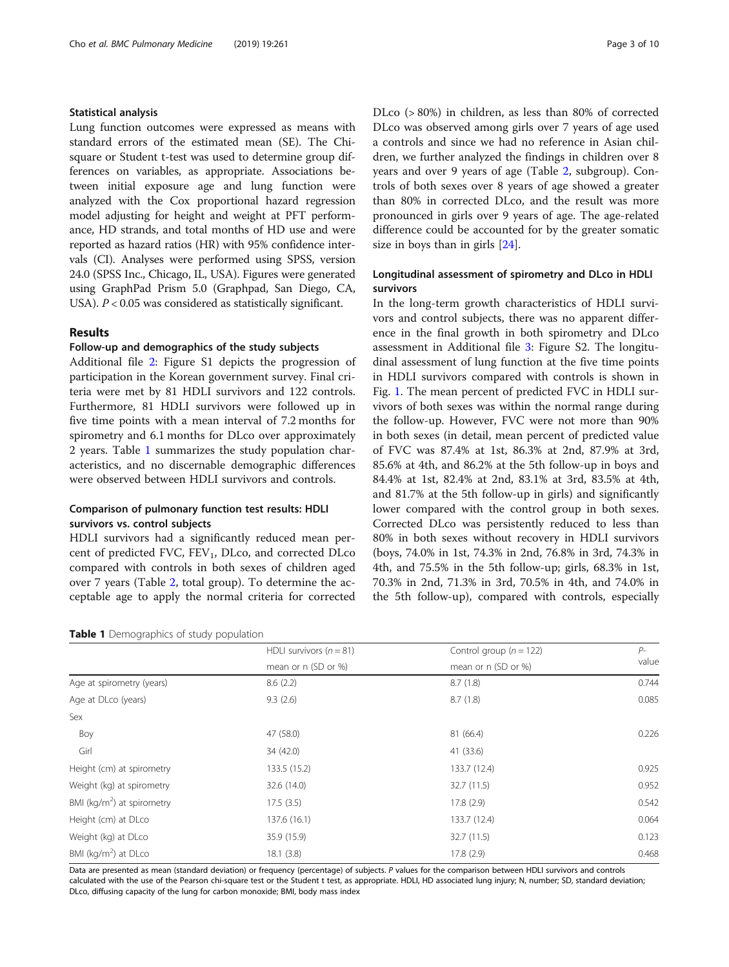#### Statistical analysis

Lung function outcomes were expressed as means with standard errors of the estimated mean (SE). The Chisquare or Student t-test was used to determine group differences on variables, as appropriate. Associations between initial exposure age and lung function were analyzed with the Cox proportional hazard regression model adjusting for height and weight at PFT performance, HD strands, and total months of HD use and were reported as hazard ratios (HR) with 95% confidence intervals (CI). Analyses were performed using SPSS, version 24.0 (SPSS Inc., Chicago, IL, USA). Figures were generated using GraphPad Prism 5.0 (Graphpad, San Diego, CA, USA).  $P < 0.05$  was considered as statistically significant.

#### Results

#### Follow-up and demographics of the study subjects

Additional file [2:](#page-8-0) Figure S1 depicts the progression of participation in the Korean government survey. Final criteria were met by 81 HDLI survivors and 122 controls. Furthermore, 81 HDLI survivors were followed up in five time points with a mean interval of 7.2 months for spirometry and 6.1 months for DLco over approximately 2 years. Table 1 summarizes the study population characteristics, and no discernable demographic differences were observed between HDLI survivors and controls.

#### Comparison of pulmonary function test results: HDLI survivors vs. control subjects

HDLI survivors had a significantly reduced mean percent of predicted FVC, FEV<sub>1</sub>, DLco, and corrected DLco compared with controls in both sexes of children aged over 7 years (Table [2,](#page-3-0) total group). To determine the acceptable age to apply the normal criteria for corrected

|  |  |  |  | Table 1 Demographics of study population |
|--|--|--|--|------------------------------------------|
|--|--|--|--|------------------------------------------|

DLco (> 80%) in children, as less than 80% of corrected DLco was observed among girls over 7 years of age used a controls and since we had no reference in Asian children, we further analyzed the findings in children over 8 years and over 9 years of age (Table [2,](#page-3-0) subgroup). Controls of both sexes over 8 years of age showed a greater than 80% in corrected DLco, and the result was more pronounced in girls over 9 years of age. The age-related difference could be accounted for by the greater somatic size in boys than in girls [[24](#page-9-0)].

#### Longitudinal assessment of spirometry and DLco in HDLI survivors

In the long-term growth characteristics of HDLI survivors and control subjects, there was no apparent difference in the final growth in both spirometry and DLco assessment in Additional file [3](#page-8-0): Figure S2. The longitudinal assessment of lung function at the five time points in HDLI survivors compared with controls is shown in Fig. [1](#page-4-0). The mean percent of predicted FVC in HDLI survivors of both sexes was within the normal range during the follow-up. However, FVC were not more than 90% in both sexes (in detail, mean percent of predicted value of FVC was 87.4% at 1st, 86.3% at 2nd, 87.9% at 3rd, 85.6% at 4th, and 86.2% at the 5th follow-up in boys and 84.4% at 1st, 82.4% at 2nd, 83.1% at 3rd, 83.5% at 4th, and 81.7% at the 5th follow-up in girls) and significantly lower compared with the control group in both sexes. Corrected DLco was persistently reduced to less than 80% in both sexes without recovery in HDLI survivors (boys, 74.0% in 1st, 74.3% in 2nd, 76.8% in 3rd, 74.3% in 4th, and 75.5% in the 5th follow-up; girls, 68.3% in 1st, 70.3% in 2nd, 71.3% in 3rd, 70.5% in 4th, and 74.0% in the 5th follow-up), compared with controls, especially

|                               | HDLI survivors ( $n = 81$ ) | Control group ( $n = 122$ ) | $P-$<br>value |  |
|-------------------------------|-----------------------------|-----------------------------|---------------|--|
|                               | mean or n (SD or %)         | mean or n (SD or %)         |               |  |
| Age at spirometry (years)     | 8.6(2.2)                    | 8.7(1.8)                    | 0.744         |  |
| Age at DLco (years)           | 9.3(2.6)                    | 8.7(1.8)                    | 0.085         |  |
| Sex                           |                             |                             |               |  |
| Boy                           | 47 (58.0)                   | 81 (66.4)                   | 0.226         |  |
| Girl                          | 34 (42.0)                   | 41 (33.6)                   |               |  |
| Height (cm) at spirometry     | 133.5 (15.2)                | 133.7 (12.4)                | 0.925         |  |
| Weight (kg) at spirometry     | 32.6 (14.0)                 | 32.7 (11.5)                 | 0.952         |  |
| BMI ( $kg/m2$ ) at spirometry | 17.5(3.5)                   | 17.8(2.9)                   | 0.542         |  |
| Height (cm) at DLco           | 137.6 (16.1)                | 133.7 (12.4)                | 0.064         |  |
| Weight (kg) at DLco           | 35.9 (15.9)                 | 32.7 (11.5)                 | 0.123         |  |
| BMI ( $kg/m2$ ) at DLco       | 18.1(3.8)                   | 17.8(2.9)                   | 0.468         |  |

Data are presented as mean (standard deviation) or frequency (percentage) of subjects. P values for the comparison between HDLI survivors and controls calculated with the use of the Pearson chi-square test or the Student t test, as appropriate. HDLI, HD associated lung injury; N, number; SD, standard deviation; DLco, diffusing capacity of the lung for carbon monoxide; BMI, body mass index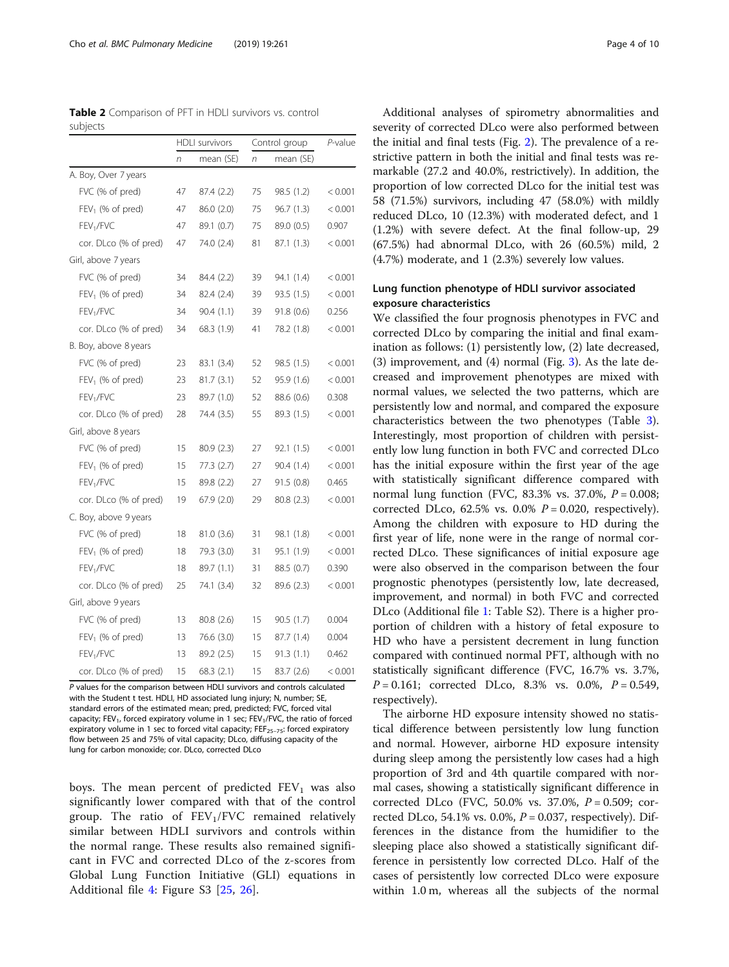<span id="page-3-0"></span>Table 2 Comparison of PFT in HDLI survivors vs. control subjects

|                       |    | <b>HDLI</b> survivors |    | Control group |         |
|-----------------------|----|-----------------------|----|---------------|---------|
|                       | n  | mean (SE)             | n  | mean (SE)     |         |
| A. Boy, Over 7 years  |    |                       |    |               |         |
| FVC (% of pred)       | 47 | 87.4 (2.2)            | 75 | 98.5 (1.2)    | < 0.001 |
| $FEV1$ (% of pred)    | 47 | 86.0 (2.0)            | 75 | 96.7 (1.3)    | < 0.001 |
| FEV <sub>1</sub> /FVC | 47 | 89.1 (0.7)            | 75 | 89.0 (0.5)    | 0.907   |
| cor. DLco (% of pred) | 47 | 74.0 (2.4)            | 81 | 87.1 (1.3)    | < 0.001 |
| Girl, above 7 years   |    |                       |    |               |         |
| FVC (% of pred)       | 34 | 84.4 (2.2)            | 39 | 94.1 (1.4)    | < 0.001 |
| $FEV1$ (% of pred)    | 34 | 82.4 (2.4)            | 39 | 93.5 (1.5)    | < 0.001 |
| FEV <sub>1</sub> /FVC | 34 | 90.4(1.1)             | 39 | 91.8 (0.6)    | 0.256   |
| cor. DLco (% of pred) | 34 | 68.3 (1.9)            | 41 | 78.2 (1.8)    | < 0.001 |
| B. Boy, above 8 years |    |                       |    |               |         |
| FVC (% of pred)       | 23 | 83.1 (3.4)            | 52 | 98.5 (1.5)    | < 0.001 |
| $FEV1$ (% of pred)    | 23 | 81.7(3.1)             | 52 | 95.9 (1.6)    | < 0.001 |
| FEV <sub>1</sub> /FVC | 23 | 89.7 (1.0)            | 52 | 88.6 (0.6)    | 0.308   |
| cor. DLco (% of pred) | 28 | 74.4 (3.5)            | 55 | 89.3 (1.5)    | < 0.001 |
| Girl, above 8 years   |    |                       |    |               |         |
| FVC (% of pred)       | 15 | 80.9(2.3)             | 27 | 92.1 (1.5)    | < 0.001 |
| $FEV1$ (% of pred)    | 15 | 77.3 (2.7)            | 27 | 90.4 (1.4)    | < 0.001 |
| FEV <sub>1</sub> /FVC | 15 | 89.8 (2.2)            | 27 | 91.5 (0.8)    | 0.465   |
| cor. DLco (% of pred) | 19 | 67.9(2.0)             | 29 | 80.8 (2.3)    | < 0.001 |
| C. Boy, above 9 years |    |                       |    |               |         |
| FVC (% of pred)       | 18 | 81.0(3.6)             | 31 | 98.1 (1.8)    | < 0.001 |
| $FEV1$ (% of pred)    | 18 | 79.3 (3.0)            | 31 | 95.1 (1.9)    | < 0.001 |
| FEV <sub>1</sub> /FVC | 18 | 89.7 (1.1)            | 31 | 88.5 (0.7)    | 0.390   |
| cor. DLco (% of pred) | 25 | 74.1 (3.4)            | 32 | 89.6 (2.3)    | < 0.001 |
| Girl, above 9 years   |    |                       |    |               |         |
| FVC (% of pred)       | 13 | 80.8 (2.6)            | 15 | 90.5 (1.7)    | 0.004   |
| $FEV1$ (% of pred)    | 13 | 76.6 (3.0)            | 15 | 87.7 (1.4)    | 0.004   |
| FEV <sub>1</sub> /FVC | 13 | 89.2 (2.5)            | 15 | 91.3 (1.1)    | 0.462   |
| cor. DLco (% of pred) | 15 | 68.3 (2.1)            | 15 | 83.7 (2.6)    | < 0.001 |

P values for the comparison between HDLI survivors and controls calculated with the Student t test. HDLI, HD associated lung injury; N, number; SE, standard errors of the estimated mean; pred, predicted; FVC, forced vital capacity; FEV<sub>1</sub>, forced expiratory volume in 1 sec; FEV<sub>1</sub>/FVC, the ratio of forced expiratory volume in 1 sec to forced vital capacity; FEF<sub>25–75</sub>: forced expiratory flow between 25 and 75% of vital capacity; DLco, diffusing capacity of the lung for carbon monoxide; cor. DLco, corrected DLco

boys. The mean percent of predicted  $FEV<sub>1</sub>$  was also significantly lower compared with that of the control group. The ratio of  $FEV<sub>1</sub>/FVC$  remained relatively similar between HDLI survivors and controls within the normal range. These results also remained significant in FVC and corrected DLco of the z-scores from Global Lung Function Initiative (GLI) equations in Additional file [4](#page-8-0): Figure S3 [[25,](#page-9-0) [26](#page-9-0)].

Additional analyses of spirometry abnormalities and severity of corrected DLco were also performed between the initial and final tests (Fig. [2\)](#page-5-0). The prevalence of a restrictive pattern in both the initial and final tests was remarkable (27.2 and 40.0%, restrictively). In addition, the proportion of low corrected DLco for the initial test was 58 (71.5%) survivors, including 47 (58.0%) with mildly reduced DLco, 10 (12.3%) with moderated defect, and 1 (1.2%) with severe defect. At the final follow-up, 29 (67.5%) had abnormal DLco, with 26 (60.5%) mild, 2 (4.7%) moderate, and 1 (2.3%) severely low values.

#### Lung function phenotype of HDLI survivor associated exposure characteristics

We classified the four prognosis phenotypes in FVC and corrected DLco by comparing the initial and final examination as follows: (1) persistently low, (2) late decreased, (3) improvement, and (4) normal (Fig. [3\)](#page-6-0). As the late decreased and improvement phenotypes are mixed with normal values, we selected the two patterns, which are persistently low and normal, and compared the exposure characteristics between the two phenotypes (Table [3](#page-7-0)). Interestingly, most proportion of children with persistently low lung function in both FVC and corrected DLco has the initial exposure within the first year of the age with statistically significant difference compared with normal lung function (FVC, 83.3% vs. 37.0%,  $P = 0.008$ ; corrected DLco,  $62.5\%$  vs. 0.0%  $P = 0.020$ , respectively). Among the children with exposure to HD during the first year of life, none were in the range of normal corrected DLco. These significances of initial exposure age were also observed in the comparison between the four prognostic phenotypes (persistently low, late decreased, improvement, and normal) in both FVC and corrected DLco (Additional file [1](#page-8-0): Table S2). There is a higher proportion of children with a history of fetal exposure to HD who have a persistent decrement in lung function compared with continued normal PFT, although with no statistically significant difference (FVC, 16.7% vs. 3.7%,  $P = 0.161$ ; corrected DLco, 8.3% vs. 0.0%,  $P = 0.549$ , respectively).

The airborne HD exposure intensity showed no statistical difference between persistently low lung function and normal. However, airborne HD exposure intensity during sleep among the persistently low cases had a high proportion of 3rd and 4th quartile compared with normal cases, showing a statistically significant difference in corrected DLco (FVC, 50.0% vs. 37.0%,  $P = 0.509$ ; corrected DLco, 54.1% vs. 0.0%,  $P = 0.037$ , respectively). Differences in the distance from the humidifier to the sleeping place also showed a statistically significant difference in persistently low corrected DLco. Half of the cases of persistently low corrected DLco were exposure within 1.0 m, whereas all the subjects of the normal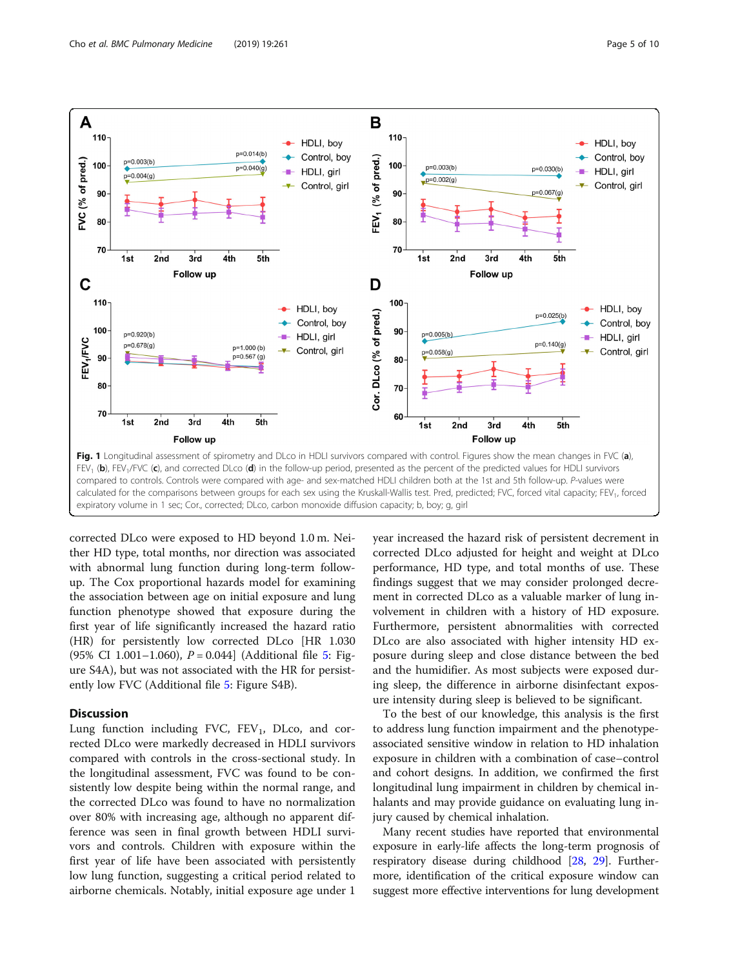<span id="page-4-0"></span>

corrected DLco were exposed to HD beyond 1.0 m. Neither HD type, total months, nor direction was associated with abnormal lung function during long-term followup. The Cox proportional hazards model for examining the association between age on initial exposure and lung function phenotype showed that exposure during the first year of life significantly increased the hazard ratio (HR) for persistently low corrected DLco [HR 1.030 (9[5](#page-8-0)% CI 1.001-1.060),  $P = 0.044$  (Additional file 5: Figure S4A), but was not associated with the HR for persistently low FVC (Additional file [5:](#page-8-0) Figure S4B).

#### Discussion

Lung function including FVC,  $FEV_1$ , DLco, and corrected DLco were markedly decreased in HDLI survivors compared with controls in the cross-sectional study. In the longitudinal assessment, FVC was found to be consistently low despite being within the normal range, and the corrected DLco was found to have no normalization over 80% with increasing age, although no apparent difference was seen in final growth between HDLI survivors and controls. Children with exposure within the first year of life have been associated with persistently low lung function, suggesting a critical period related to airborne chemicals. Notably, initial exposure age under 1

year increased the hazard risk of persistent decrement in corrected DLco adjusted for height and weight at DLco performance, HD type, and total months of use. These findings suggest that we may consider prolonged decrement in corrected DLco as a valuable marker of lung involvement in children with a history of HD exposure. Furthermore, persistent abnormalities with corrected DLco are also associated with higher intensity HD exposure during sleep and close distance between the bed and the humidifier. As most subjects were exposed during sleep, the difference in airborne disinfectant exposure intensity during sleep is believed to be significant.

To the best of our knowledge, this analysis is the first to address lung function impairment and the phenotypeassociated sensitive window in relation to HD inhalation exposure in children with a combination of case–control and cohort designs. In addition, we confirmed the first longitudinal lung impairment in children by chemical inhalants and may provide guidance on evaluating lung injury caused by chemical inhalation.

Many recent studies have reported that environmental exposure in early-life affects the long-term prognosis of respiratory disease during childhood [\[28](#page-9-0), [29](#page-9-0)]. Furthermore, identification of the critical exposure window can suggest more effective interventions for lung development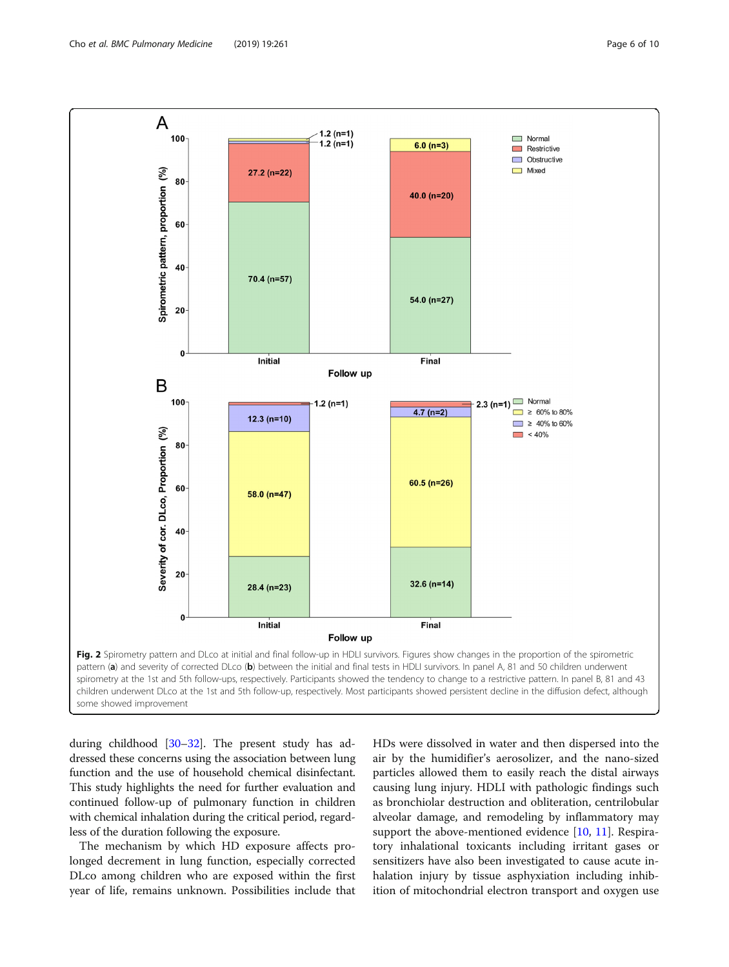<span id="page-5-0"></span>

during childhood [[30](#page-9-0)–[32\]](#page-9-0). The present study has addressed these concerns using the association between lung function and the use of household chemical disinfectant. This study highlights the need for further evaluation and continued follow-up of pulmonary function in children with chemical inhalation during the critical period, regardless of the duration following the exposure.

The mechanism by which HD exposure affects prolonged decrement in lung function, especially corrected DLco among children who are exposed within the first year of life, remains unknown. Possibilities include that HDs were dissolved in water and then dispersed into the air by the humidifier's aerosolizer, and the nano-sized particles allowed them to easily reach the distal airways causing lung injury. HDLI with pathologic findings such as bronchiolar destruction and obliteration, centrilobular alveolar damage, and remodeling by inflammatory may support the above-mentioned evidence [\[10](#page-9-0), [11](#page-9-0)]. Respiratory inhalational toxicants including irritant gases or sensitizers have also been investigated to cause acute inhalation injury by tissue asphyxiation including inhibition of mitochondrial electron transport and oxygen use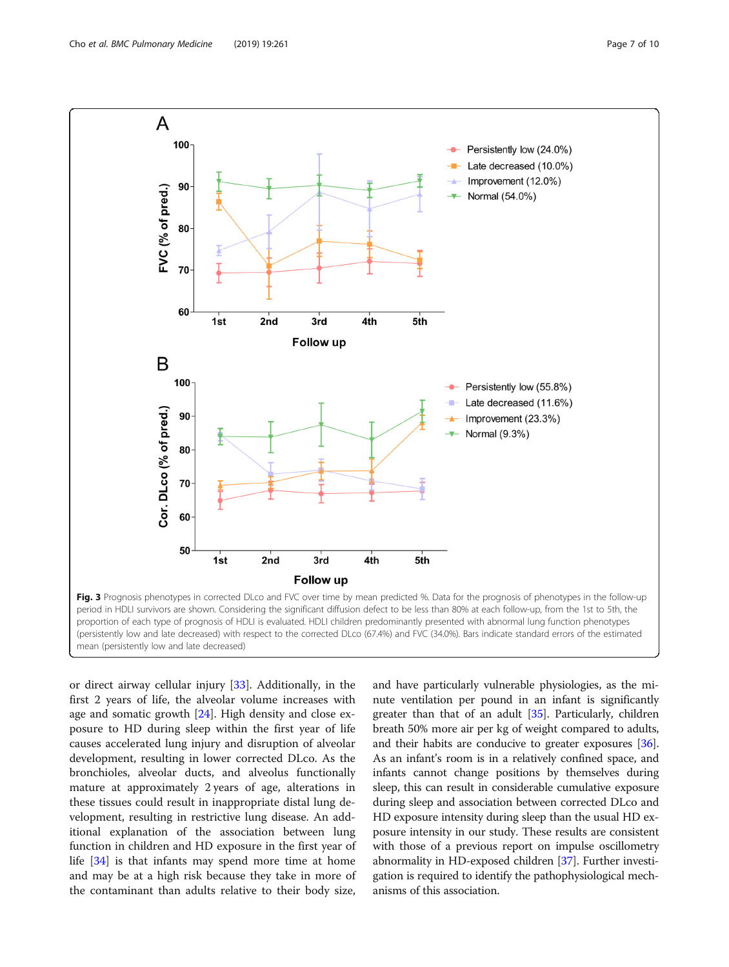<span id="page-6-0"></span>

or direct airway cellular injury [[33\]](#page-9-0). Additionally, in the first 2 years of life, the alveolar volume increases with age and somatic growth [[24\]](#page-9-0). High density and close exposure to HD during sleep within the first year of life causes accelerated lung injury and disruption of alveolar development, resulting in lower corrected DLco. As the bronchioles, alveolar ducts, and alveolus functionally mature at approximately 2 years of age, alterations in these tissues could result in inappropriate distal lung development, resulting in restrictive lung disease. An additional explanation of the association between lung function in children and HD exposure in the first year of life [[34](#page-9-0)] is that infants may spend more time at home and may be at a high risk because they take in more of the contaminant than adults relative to their body size,

and have particularly vulnerable physiologies, as the minute ventilation per pound in an infant is significantly greater than that of an adult [\[35\]](#page-9-0). Particularly, children breath 50% more air per kg of weight compared to adults, and their habits are conducive to greater exposures [[36](#page-9-0)]. As an infant's room is in a relatively confined space, and infants cannot change positions by themselves during sleep, this can result in considerable cumulative exposure during sleep and association between corrected DLco and HD exposure intensity during sleep than the usual HD exposure intensity in our study. These results are consistent with those of a previous report on impulse oscillometry abnormality in HD-exposed children [[37](#page-9-0)]. Further investigation is required to identify the pathophysiological mechanisms of this association.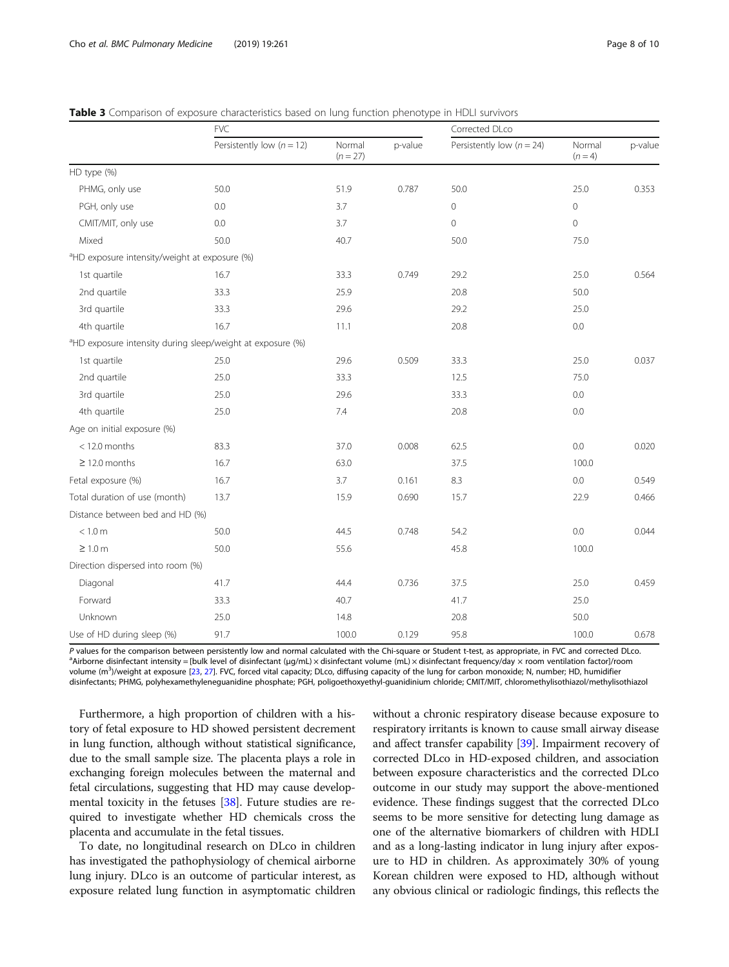|                                                                        | <b>FVC</b>                  |                      |         | Corrected DLco                |                     |         |  |
|------------------------------------------------------------------------|-----------------------------|----------------------|---------|-------------------------------|---------------------|---------|--|
|                                                                        | Persistently low $(n = 12)$ | Normal<br>$(n = 27)$ | p-value | Persistently low ( $n = 24$ ) | Normal<br>$(n = 4)$ | p-value |  |
| HD type (%)                                                            |                             |                      |         |                               |                     |         |  |
| PHMG, only use                                                         | 50.0                        | 51.9                 | 0.787   | 50.0                          | 25.0                | 0.353   |  |
| PGH, only use                                                          | 0.0                         | 3.7                  |         | $\mathbf 0$                   | $\mathbf 0$         |         |  |
| CMIT/MIT, only use                                                     | 0.0                         | 3.7                  |         | $\mathbf{0}$                  | $\mathbf 0$         |         |  |
| Mixed                                                                  | 50.0                        | 40.7                 |         | 50.0                          | 75.0                |         |  |
| <sup>a</sup> HD exposure intensity/weight at exposure (%)              |                             |                      |         |                               |                     |         |  |
| 1st quartile                                                           | 16.7                        | 33.3                 | 0.749   | 29.2                          | 25.0                | 0.564   |  |
| 2nd quartile                                                           | 33.3                        | 25.9                 |         | 20.8                          | 50.0                |         |  |
| 3rd quartile                                                           | 33.3                        | 29.6                 |         | 29.2                          | 25.0                |         |  |
| 4th quartile                                                           | 16.7                        | 11.1                 |         | 20.8                          | 0.0                 |         |  |
| <sup>a</sup> HD exposure intensity during sleep/weight at exposure (%) |                             |                      |         |                               |                     |         |  |
| 1st quartile                                                           | 25.0                        | 29.6                 | 0.509   | 33.3                          | 25.0                | 0.037   |  |
| 2nd quartile                                                           | 25.0                        | 33.3                 |         | 12.5                          | 75.0                |         |  |
| 3rd quartile                                                           | 25.0                        | 29.6                 |         | 33.3                          | 0.0                 |         |  |
| 4th quartile                                                           | 25.0                        | 7.4                  |         | 20.8                          | 0.0                 |         |  |
| Age on initial exposure (%)                                            |                             |                      |         |                               |                     |         |  |
| $<$ 12.0 months                                                        | 83.3                        | 37.0                 | 0.008   | 62.5                          | 0.0                 | 0.020   |  |
| $\geq$ 12.0 months                                                     | 16.7                        | 63.0                 |         | 37.5                          | 100.0               |         |  |
| Fetal exposure (%)                                                     | 16.7                        | 3.7                  | 0.161   | 8.3                           | 0.0                 | 0.549   |  |
| Total duration of use (month)                                          | 13.7                        | 15.9                 | 0.690   | 15.7                          | 22.9                | 0.466   |  |
| Distance between bed and HD (%)                                        |                             |                      |         |                               |                     |         |  |
| < 1.0 m                                                                | 50.0                        | 44.5                 | 0.748   | 54.2                          | 0.0                 | 0.044   |  |
| $\geq 1.0$ m                                                           | 50.0                        | 55.6                 |         | 45.8                          | 100.0               |         |  |
| Direction dispersed into room (%)                                      |                             |                      |         |                               |                     |         |  |
| Diagonal                                                               | 41.7                        | 44.4                 | 0.736   | 37.5                          | 25.0                | 0.459   |  |
| Forward                                                                | 33.3                        | 40.7                 |         | 41.7                          | 25.0                |         |  |
| Unknown                                                                | 25.0                        | 14.8                 |         | 20.8                          | 50.0                |         |  |
| Use of HD during sleep (%)                                             | 91.7                        | 100.0                | 0.129   | 95.8                          | 100.0               | 0.678   |  |

<span id="page-7-0"></span>Table 3 Comparison of exposure characteristics based on lung function phenotype in HDLI survivors

P values for the comparison between persistently low and normal calculated with the Chi-square or Student t-test, as appropriate, in FVC and corrected DLco. Airborne disinfectant intensity = [bulk level of disinfectant (μg/mL) × disinfectant volume (mL) × disinfectant frequency/day × room ventilation factor]/room volume (m<sup>3</sup>)/weight at exposure [\[23,](#page-9-0) [27](#page-9-0)]. FVC, forced vital capacity; DLco, diffusing capacity of the lung for carbon monoxide; N, number; HD, humidifier disinfectants; PHMG, polyhexamethyleneguanidine phosphate; PGH, poligoethoxyethyl-guanidinium chloride; CMIT/MIT, chloromethylisothiazol/methylisothiazol

Furthermore, a high proportion of children with a history of fetal exposure to HD showed persistent decrement in lung function, although without statistical significance, due to the small sample size. The placenta plays a role in exchanging foreign molecules between the maternal and fetal circulations, suggesting that HD may cause developmental toxicity in the fetuses [\[38\]](#page-9-0). Future studies are required to investigate whether HD chemicals cross the placenta and accumulate in the fetal tissues.

To date, no longitudinal research on DLco in children has investigated the pathophysiology of chemical airborne lung injury. DLco is an outcome of particular interest, as exposure related lung function in asymptomatic children

without a chronic respiratory disease because exposure to respiratory irritants is known to cause small airway disease and affect transfer capability [\[39\]](#page-9-0). Impairment recovery of corrected DLco in HD-exposed children, and association between exposure characteristics and the corrected DLco outcome in our study may support the above-mentioned evidence. These findings suggest that the corrected DLco seems to be more sensitive for detecting lung damage as one of the alternative biomarkers of children with HDLI and as a long-lasting indicator in lung injury after exposure to HD in children. As approximately 30% of young Korean children were exposed to HD, although without any obvious clinical or radiologic findings, this reflects the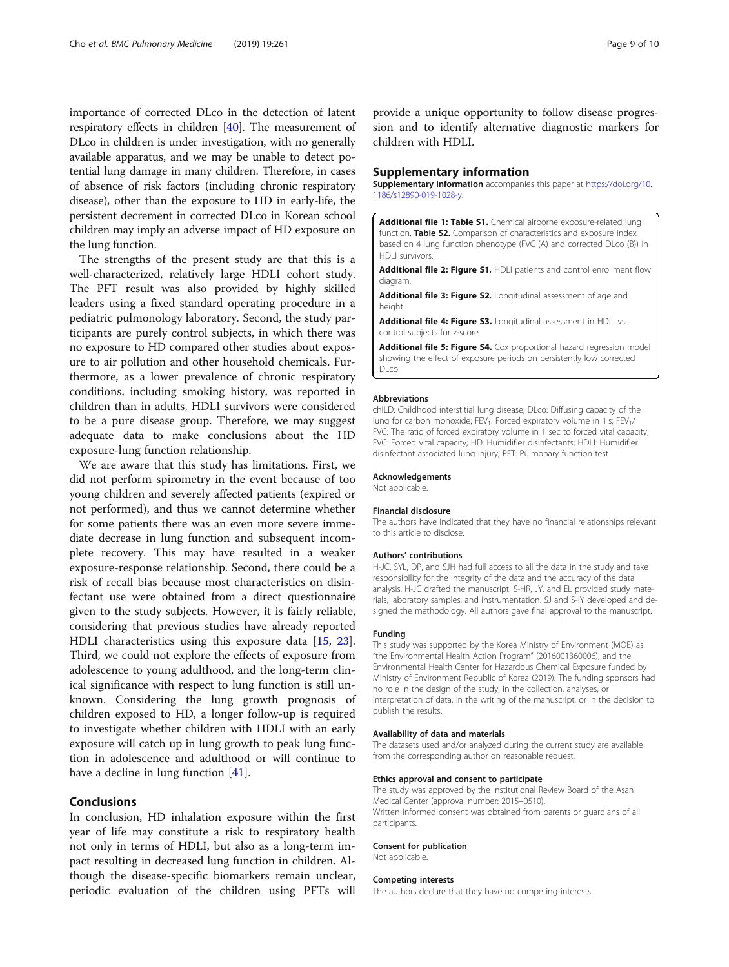<span id="page-8-0"></span>importance of corrected DLco in the detection of latent respiratory effects in children [\[40\]](#page-9-0). The measurement of DLco in children is under investigation, with no generally available apparatus, and we may be unable to detect potential lung damage in many children. Therefore, in cases of absence of risk factors (including chronic respiratory disease), other than the exposure to HD in early-life, the persistent decrement in corrected DLco in Korean school children may imply an adverse impact of HD exposure on the lung function.

The strengths of the present study are that this is a well-characterized, relatively large HDLI cohort study. The PFT result was also provided by highly skilled leaders using a fixed standard operating procedure in a pediatric pulmonology laboratory. Second, the study participants are purely control subjects, in which there was no exposure to HD compared other studies about exposure to air pollution and other household chemicals. Furthermore, as a lower prevalence of chronic respiratory conditions, including smoking history, was reported in children than in adults, HDLI survivors were considered to be a pure disease group. Therefore, we may suggest adequate data to make conclusions about the HD exposure-lung function relationship.

We are aware that this study has limitations. First, we did not perform spirometry in the event because of too young children and severely affected patients (expired or not performed), and thus we cannot determine whether for some patients there was an even more severe immediate decrease in lung function and subsequent incomplete recovery. This may have resulted in a weaker exposure-response relationship. Second, there could be a risk of recall bias because most characteristics on disinfectant use were obtained from a direct questionnaire given to the study subjects. However, it is fairly reliable, considering that previous studies have already reported HDLI characteristics using this exposure data [[15,](#page-9-0) [23](#page-9-0)]. Third, we could not explore the effects of exposure from adolescence to young adulthood, and the long-term clinical significance with respect to lung function is still unknown. Considering the lung growth prognosis of children exposed to HD, a longer follow-up is required to investigate whether children with HDLI with an early exposure will catch up in lung growth to peak lung function in adolescence and adulthood or will continue to have a decline in lung function [[41\]](#page-9-0).

#### Conclusions

In conclusion, HD inhalation exposure within the first year of life may constitute a risk to respiratory health not only in terms of HDLI, but also as a long-term impact resulting in decreased lung function in children. Although the disease-specific biomarkers remain unclear, periodic evaluation of the children using PFTs will

provide a unique opportunity to follow disease progression and to identify alternative diagnostic markers for children with HDLI.

#### Supplementary information

Supplementary information accompanies this paper at [https://doi.org/10.](https://doi.org/10.1186/s12890-019-1028-y) [1186/s12890-019-1028-y](https://doi.org/10.1186/s12890-019-1028-y).

Additional file 1: Table S1. Chemical airborne exposure-related lung function. **Table S2.** Comparison of characteristics and exposure index based on 4 lung function phenotype (FVC (A) and corrected DLco (B)) in HDLI survivors.

Additional file 2: Figure S1. HDLI patients and control enrollment flow diagram.

Additional file 3: Figure S2. Longitudinal assessment of age and height.

Additional file 4: Figure S3. Longitudinal assessment in HDLI vs. control subjects for z-score.

Additional file 5: Figure S4. Cox proportional hazard regression model showing the effect of exposure periods on persistently low corrected DLco.

#### **Abbreviations**

chILD: Childhood interstitial lung disease; DLco: Diffusing capacity of the lung for carbon monoxide;  $FEV_1$ : Forced expiratory volume in 1 s;  $FEV_1/$ FVC: The ratio of forced expiratory volume in 1 sec to forced vital capacity; FVC: Forced vital capacity; HD: Humidifier disinfectants; HDLI: Humidifier disinfectant associated lung injury; PFT: Pulmonary function test

#### Acknowledgements

Not applicable.

#### Financial disclosure

The authors have indicated that they have no financial relationships relevant to this article to disclose.

#### Authors' contributions

H-JC, SYL, DP, and SJH had full access to all the data in the study and take responsibility for the integrity of the data and the accuracy of the data analysis. H-JC drafted the manuscript. S-HR, JY, and EL provided study materials, laboratory samples, and instrumentation. SJ and S-IY developed and designed the methodology. All authors gave final approval to the manuscript.

#### Funding

This study was supported by the Korea Ministry of Environment (MOE) as "the Environmental Health Action Program" (2016001360006), and the Environmental Health Center for Hazardous Chemical Exposure funded by Ministry of Environment Republic of Korea (2019). The funding sponsors had no role in the design of the study, in the collection, analyses, or interpretation of data, in the writing of the manuscript, or in the decision to publish the results.

#### Availability of data and materials

The datasets used and/or analyzed during the current study are available from the corresponding author on reasonable request.

#### Ethics approval and consent to participate

The study was approved by the Institutional Review Board of the Asan Medical Center (approval number: 2015–0510). Written informed consent was obtained from parents or guardians of all participants.

#### Consent for publication

Not applicable.

#### Competing interests

The authors declare that they have no competing interests.